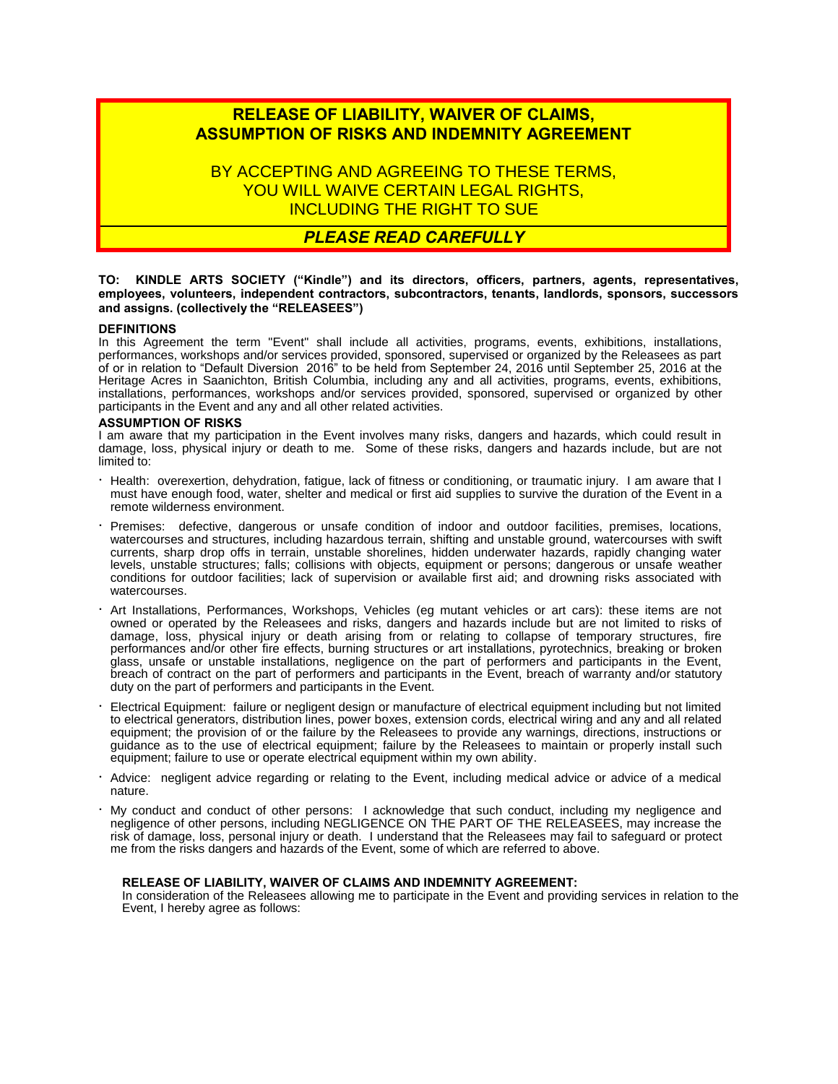# **RELEASE OF LIABILITY, WAIVER OF CLAIMS, ASSUMPTION OF RISKS AND INDEMNITY AGREEMENT**

BY ACCEPTING AND AGREEING TO THESE TERMS, YOU WILL WAIVE CERTAIN LEGAL RIGHTS. INCLUDING THE RIGHT TO SUE

## *PLEASE READ CAREFULLY*

## **TO: KINDLE ARTS SOCIETY ("Kindle") and its directors, officers, partners, agents, representatives, employees, volunteers, independent contractors, subcontractors, tenants, landlords, sponsors, successors and assigns. (collectively the "RELEASEES")**

## **DEFINITIONS**

In this Agreement the term "Event" shall include all activities, programs, events, exhibitions, installations, performances, workshops and/or services provided, sponsored, supervised or organized by the Releasees as part of or in relation to "Default Diversion 2016" to be held from September 24, 2016 until September 25, 2016 at the Heritage Acres in Saanichton, British Columbia, including any and all activities, programs, events, exhibitions, installations, performances, workshops and/or services provided, sponsored, supervised or organized by other participants in the Event and any and all other related activities.

## **ASSUMPTION OF RISKS**

I am aware that my participation in the Event involves many risks, dangers and hazards, which could result in damage, loss, physical injury or death to me. Some of these risks, dangers and hazards include, but are not limited to:

- · Health: overexertion, dehydration, fatigue, lack of fitness or conditioning, or traumatic injury. I am aware that I must have enough food, water, shelter and medical or first aid supplies to survive the duration of the Event in a remote wilderness environment.
- · Premises: defective, dangerous or unsafe condition of indoor and outdoor facilities, premises, locations, watercourses and structures, including hazardous terrain, shifting and unstable ground, watercourses with swift currents, sharp drop offs in terrain, unstable shorelines, hidden underwater hazards, rapidly changing water levels, unstable structures; falls; collisions with objects, equipment or persons; dangerous or unsafe weather conditions for outdoor facilities; lack of supervision or available first aid; and drowning risks associated with watercourses.
- · Art Installations, Performances, Workshops, Vehicles (eg mutant vehicles or art cars): these items are not owned or operated by the Releasees and risks, dangers and hazards include but are not limited to risks of damage, loss, physical injury or death arising from or relating to collapse of temporary structures, fire performances and/or other fire effects, burning structures or art installations, pyrotechnics, breaking or broken glass, unsafe or unstable installations, negligence on the part of performers and participants in the Event, breach of contract on the part of performers and participants in the Event, breach of warranty and/or statutory duty on the part of performers and participants in the Event.
- · Electrical Equipment: failure or negligent design or manufacture of electrical equipment including but not limited to electrical generators, distribution lines, power boxes, extension cords, electrical wiring and any and all related equipment; the provision of or the failure by the Releasees to provide any warnings, directions, instructions or guidance as to the use of electrical equipment; failure by the Releasees to maintain or properly install such equipment; failure to use or operate electrical equipment within my own ability.
- · Advice: negligent advice regarding or relating to the Event, including medical advice or advice of a medical nature.
- · My conduct and conduct of other persons: I acknowledge that such conduct, including my negligence and negligence of other persons, including NEGLIGENCE ON THE PART OF THE RELEASEES, may increase the risk of damage, loss, personal injury or death. I understand that the Releasees may fail to safeguard or protect me from the risks dangers and hazards of the Event, some of which are referred to above.

## **RELEASE OF LIABILITY, WAIVER OF CLAIMS AND INDEMNITY AGREEMENT:**

In consideration of the Releasees allowing me to participate in the Event and providing services in relation to the Event, I hereby agree as follows: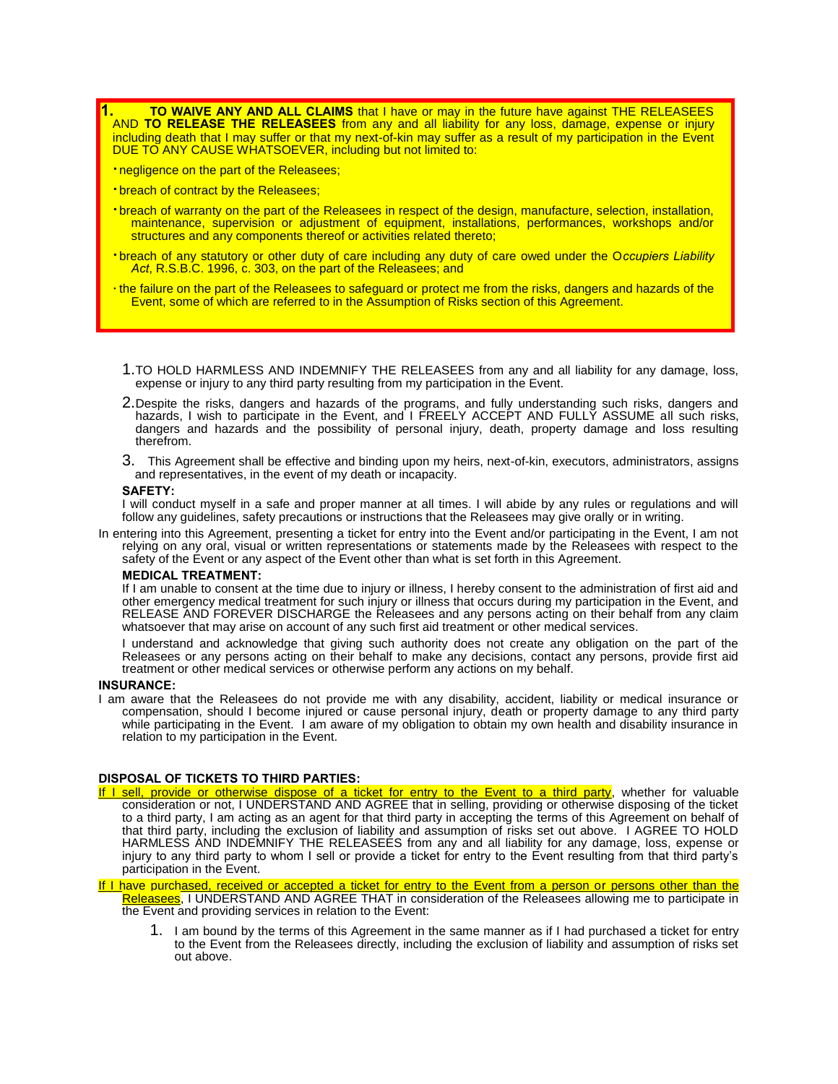**10 WAIVE ANY AND ALL CLAIMS** that I have or may in the future have against THE RELEASEES AND **TO RELEASE THE RELEASEES** from any and all liability for any loss, damage, expense or injury including death that I may suffer or that my next-of-kin may suffer as a result of my participation in the Event DUE TO ANY CAUSE WHATSOEVER, including but not limited to:

- **·**negligence on the part of the Releasees;
- **·**breach of contract by the Releasees;
- **·**breach of warranty on the part of the Releasees in respect of the design, manufacture, selection, installation, maintenance, supervision or adjustment of equipment, installations, performances, workshops and/or structures and any components thereof or activities related thereto;
- **·**breach of any statutory or other duty of care including any duty of care owed under the O*ccupiers Liability Act*, R.S.B.C. 1996, c. 303, on the part of the Releasees; and
- ·the failure on the part of the Releasees to safeguard or protect me from the risks, dangers and hazards of the Event, some of which are referred to in the Assumption of Risks section of this Agreement.
	- 1.TO HOLD HARMLESS AND INDEMNIFY THE RELEASEES from any and all liability for any damage, loss, expense or injury to any third party resulting from my participation in the Event.
	- 2.Despite the risks, dangers and hazards of the programs, and fully understanding such risks, dangers and hazards, I wish to participate in the Event, and I FREELY ACCEPT AND FULLY ASSUME all such risks, dangers and hazards and the possibility of personal injury, death, property damage and loss resulting therefrom.
	- 3. This Agreement shall be effective and binding upon my heirs, next-of-kin, executors, administrators, assigns and representatives, in the event of my death or incapacity.

## **SAFETY:**

I will conduct myself in a safe and proper manner at all times. I will abide by any rules or regulations and will follow any guidelines, safety precautions or instructions that the Releasees may give orally or in writing.

In entering into this Agreement, presenting a ticket for entry into the Event and/or participating in the Event, I am not relying on any oral, visual or written representations or statements made by the Releasees with respect to the safety of the Event or any aspect of the Event other than what is set forth in this Agreement.

#### **MEDICAL TREATMENT:**

If I am unable to consent at the time due to injury or illness, I hereby consent to the administration of first aid and other emergency medical treatment for such injury or illness that occurs during my participation in the Event, and RELEASE AND FOREVER DISCHARGE the Releasees and any persons acting on their behalf from any claim whatsoever that may arise on account of any such first aid treatment or other medical services.

I understand and acknowledge that giving such authority does not create any obligation on the part of the Releasees or any persons acting on their behalf to make any decisions, contact any persons, provide first aid treatment or other medical services or otherwise perform any actions on my behalf.

## **INSURANCE:**

I am aware that the Releasees do not provide me with any disability, accident, liability or medical insurance or compensation, should I become injured or cause personal injury, death or property damage to any third party while participating in the Event. I am aware of my obligation to obtain my own health and disability insurance in relation to my participation in the Event.

## **DISPOSAL OF TICKETS TO THIRD PARTIES:**

If I sell, provide or otherwise dispose of a ticket for entry to the Event to a third party, whether for valuable consideration or not, I UNDERSTAND AND AGREE that in selling, providing or otherwise disposing of the ticket to a third party, I am acting as an agent for that third party in accepting the terms of this Agreement on behalf of that third party, including the exclusion of liability and assumption of risks set out above. I AGREE TO HOLD HARMLESS AND INDEMNIFY THE RELEASEES from any and all liability for any damage, loss, expense or injury to any third party to whom I sell or provide a ticket for entry to the Event resulting from that third party's participation in the Event.

If I have purchased, received or accepted a ticket for entry to the Event from a person or persons other than the Releasees, I UNDERSTAND AND AGREE THAT in consideration of the Releasees allowing me to participate in the Event and providing services in relation to the Event:

1. I am bound by the terms of this Agreement in the same manner as if I had purchased a ticket for entry to the Event from the Releasees directly, including the exclusion of liability and assumption of risks set out above.